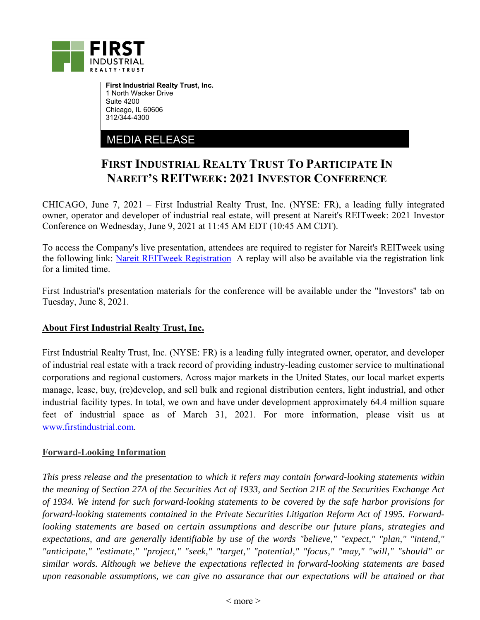

**First Industrial Realty Trust, Inc.**  1 North Wacker Drive Suite 4200 Chicago, IL 60606 312/344-4300

## MEDIA RELEASE

## **FIRST INDUSTRIAL REALTY TRUST TO PARTICIPATE IN NAREIT'S REITWEEK: 2021 INVESTOR CONFERENCE**

CHICAGO, June 7, 2021 – First Industrial Realty Trust, Inc. (NYSE: FR), a leading fully integrated owner, operator and developer of industrial real estate, will present at Nareit's REITweek: 2021 Investor Conference on Wednesday, June 9, 2021 at 11:45 AM EDT (10:45 AM CDT).

To access the Company's live presentation, attendees are required to register for Nareit's REITweek using the following link: Nareit REITweek Registration A replay will also be available via the registration link for a limited time.

First Industrial's presentation materials for the conference will be available under the "Investors" tab on Tuesday, June 8, 2021.

## **About First Industrial Realty Trust, Inc.**

First Industrial Realty Trust, Inc. (NYSE: FR) is a leading fully integrated owner, operator, and developer of industrial real estate with a track record of providing industry-leading customer service to multinational corporations and regional customers. Across major markets in the United States, our local market experts manage, lease, buy, (re)develop, and sell bulk and regional distribution centers, light industrial, and other industrial facility types. In total, we own and have under development approximately 64.4 million square feet of industrial space as of March 31, 2021. For more information, please visit us at www.firstindustrial.com.

## **Forward-Looking Information**

*This press release and the presentation to which it refers may contain forward-looking statements within the meaning of Section 27A of the Securities Act of 1933, and Section 21E of the Securities Exchange Act of 1934. We intend for such forward-looking statements to be covered by the safe harbor provisions for forward-looking statements contained in the Private Securities Litigation Reform Act of 1995. Forwardlooking statements are based on certain assumptions and describe our future plans, strategies and expectations, and are generally identifiable by use of the words "believe," "expect," "plan," "intend," "anticipate," "estimate," "project," "seek," "target," "potential," "focus," "may," "will," "should" or similar words. Although we believe the expectations reflected in forward-looking statements are based upon reasonable assumptions, we can give no assurance that our expectations will be attained or that*